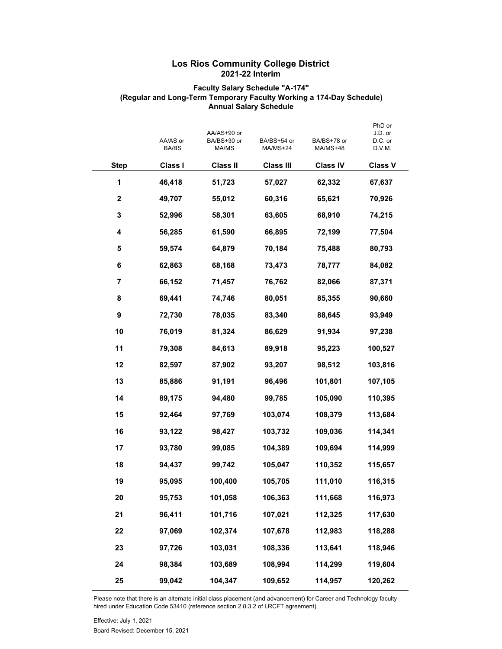## **Los Rios Community College District 2021-22 Interim**

## **Faculty Salary Schedule "A-174" (Regular and Long-Term Temporary Faculty Working a 174-Day Schedule) Annual Salary Schedule**

|                  | AA/AS or<br><b>BA/BS</b> | AA/AS+90 or<br>BA/BS+30 or<br>MA/MS | BA/BS+54 or<br>MA/MS+24 | BA/BS+78 or<br>MA/MS+48 | PhD or<br>J.D. or<br>D.C. or<br>D.V.M. |
|------------------|--------------------------|-------------------------------------|-------------------------|-------------------------|----------------------------------------|
| <b>Step</b>      | Class I                  | <b>Class II</b>                     | <b>Class III</b>        | <b>Class IV</b>         | <b>Class V</b>                         |
| 1                | 46,418                   | 51,723                              | 57,027                  | 62,332                  | 67,637                                 |
| $\boldsymbol{2}$ | 49,707                   | 55,012                              | 60,316                  | 65,621                  | 70,926                                 |
| 3                | 52,996                   | 58,301                              | 63,605                  | 68,910                  | 74,215                                 |
| 4                | 56,285                   | 61,590                              | 66,895                  | 72,199                  | 77,504                                 |
| 5                | 59,574                   | 64,879                              | 70,184                  | 75,488                  | 80,793                                 |
| 6                | 62,863                   | 68,168                              | 73,473                  | 78,777                  | 84,082                                 |
| 7                | 66,152                   | 71,457                              | 76,762                  | 82,066                  | 87,371                                 |
| 8                | 69,441                   | 74,746                              | 80,051                  | 85,355                  | 90,660                                 |
| 9                | 72,730                   | 78,035                              | 83,340                  | 88,645                  | 93,949                                 |
| 10               | 76,019                   | 81,324                              | 86,629                  | 91,934                  | 97,238                                 |
| 11               | 79,308                   | 84,613                              | 89,918                  | 95,223                  | 100,527                                |
| 12               | 82,597                   | 87,902                              | 93,207                  | 98,512                  | 103,816                                |
| 13               | 85,886                   | 91,191                              | 96,496                  | 101,801                 | 107,105                                |
| 14               | 89,175                   | 94,480                              | 99,785                  | 105,090                 | 110,395                                |
| 15               | 92,464                   | 97,769                              | 103,074                 | 108,379                 | 113,684                                |
| 16               | 93,122                   | 98,427                              | 103,732                 | 109,036                 | 114,341                                |
| 17               | 93,780                   | 99,085                              | 104,389                 | 109,694                 | 114,999                                |
| 18               | 94,437                   | 99,742                              | 105,047                 | 110,352                 | 115,657                                |
| 19               | 95,095                   | 100,400                             | 105,705                 | 111,010                 | 116,315                                |
| 20               | 95,753                   | 101,058                             | 106,363                 | 111,668                 | 116,973                                |
| 21               | 96,411                   | 101,716                             | 107,021                 | 112,325                 | 117,630                                |
| 22               | 97,069                   | 102,374                             | 107,678                 | 112,983                 | 118,288                                |
| 23               | 97,726                   | 103,031                             | 108,336                 | 113,641                 | 118,946                                |
| 24               | 98,384                   | 103,689                             | 108,994                 | 114,299                 | 119,604                                |
| 25               | 99,042                   | 104,347                             | 109,652                 | 114,957                 | 120,262                                |

Please note that there is an alternate initial class placement (and advancement) for Career and Technology faculty hired under Education Code 53410 (reference section 2.8.3.2 of LRCFT agreement)